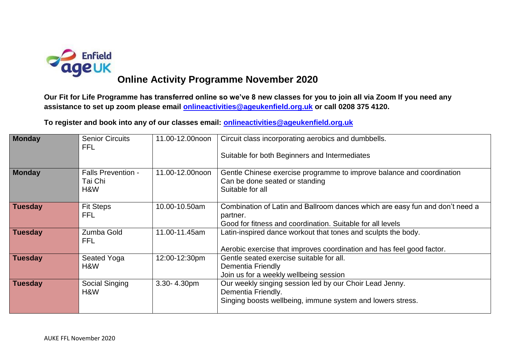

## **Online Activity Programme November 2020**

**Our Fit for Life Programme has transferred online so we've 8 new classes for you to join all via Zoom If you need any assistance to set up zoom please email [onlineactivities@ageukenfield.org.uk](mailto:onlineactivities@ageukenfield.org.uk) or call 0208 375 4120.** 

**To register and book into any of our classes email: [onlineactivities@ageukenfield.org.uk](mailto:onlineactivities@ageukenfield.org.uk)**

| <b>Monday</b>  | <b>Senior Circuits</b><br><b>FFL</b>        | 11.00-12.00noon | Circuit class incorporating aerobics and dumbbells.<br>Suitable for both Beginners and Intermediates                                                   |
|----------------|---------------------------------------------|-----------------|--------------------------------------------------------------------------------------------------------------------------------------------------------|
| <b>Monday</b>  | <b>Falls Prevention -</b><br>Tai Chi<br>H&W | 11.00-12.00noon | Gentle Chinese exercise programme to improve balance and coordination<br>Can be done seated or standing<br>Suitable for all                            |
| <b>Tuesday</b> | <b>Fit Steps</b><br><b>FFL</b>              | 10.00-10.50am   | Combination of Latin and Ballroom dances which are easy fun and don't need a<br>partner.<br>Good for fitness and coordination. Suitable for all levels |
| <b>Tuesday</b> | Zumba Gold<br><b>FFL</b>                    | 11.00-11.45am   | Latin-inspired dance workout that tones and sculpts the body.<br>Aerobic exercise that improves coordination and has feel good factor.                 |
| <b>Tuesday</b> | Seated Yoga<br>H&W                          | 12:00-12:30pm   | Gentle seated exercise suitable for all.<br>Dementia Friendly<br>Join us for a weekly wellbeing session                                                |
| <b>Tuesday</b> | Social Singing<br>H&W                       | 3.30-4.30pm     | Our weekly singing session led by our Choir Lead Jenny.<br>Dementia Friendly.<br>Singing boosts wellbeing, immune system and lowers stress.            |